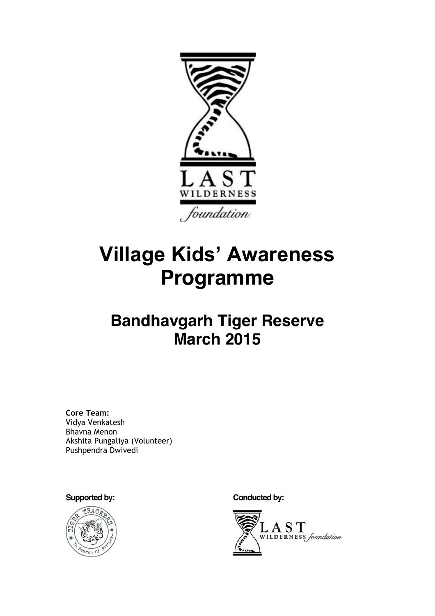

# **Village Kids' Awareness Programme**

## **Bandhavgarh Tiger Reserve March 2015**

**Core Team:**  Vidya Venkatesh Bhavna Menon Akshita Pungaliya (Volunteer) Pushpendra Dwivedi



Supported by: **Conducted by: Conducted by:** 

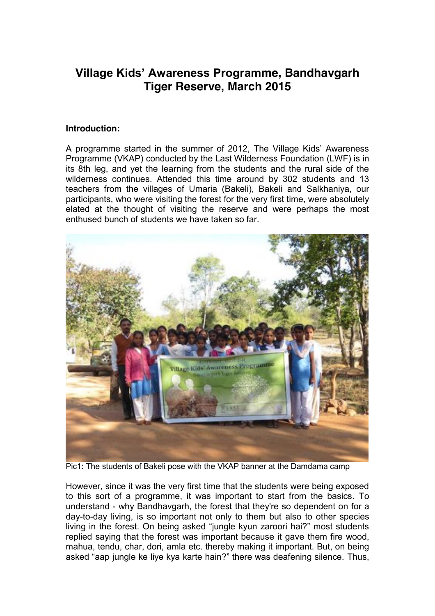### **Village Kids' Awareness Programme, Bandhavgarh Tiger Reserve, March 2015**

#### **Introduction:**

A programme started in the summer of 2012. The Village Kids' Awareness Programme (VKAP) conducted by the Last Wilderness Foundation (LWF) is in its 8th leg, and yet the learning from the students and the rural side of the wilderness continues. Attended this time around by 302 students and 13 teachers from the villages of Umaria (Bakeli), Bakeli and Salkhaniya, our participants, who were visiting the forest for the very first time, were absolutely elated at the thought of visiting the reserve and were perhaps the most enthused bunch of students we have taken so far.



Pic1: The students of Bakeli pose with the VKAP banner at the Damdama camp

However, since it was the very first time that the students were being exposed to this sort of a programme, it was important to start from the basics. To understand - why Bandhavgarh, the forest that they're so dependent on for a day-to-day living, is so important not only to them but also to other species living in the forest. On being asked "jungle kyun zaroori hai?" most students replied saying that the forest was important because it gave them fire wood, mahua, tendu, char, dori, amla etc. thereby making it important. But, on being asked "aap jungle ke liye kya karte hain?" there was deafening silence. Thus,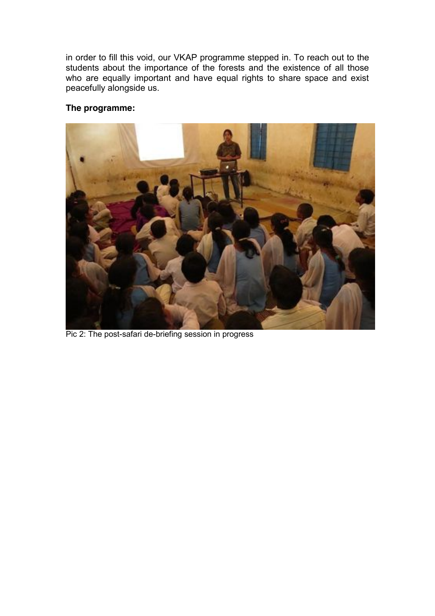in order to fill this void, our VKAP programme stepped in. To reach out to the students about the importance of the forests and the existence of all those who are equally important and have equal rights to share space and exist peacefully alongside us.

#### **The programme:**



Pic 2: The post-safari de-briefing session in progress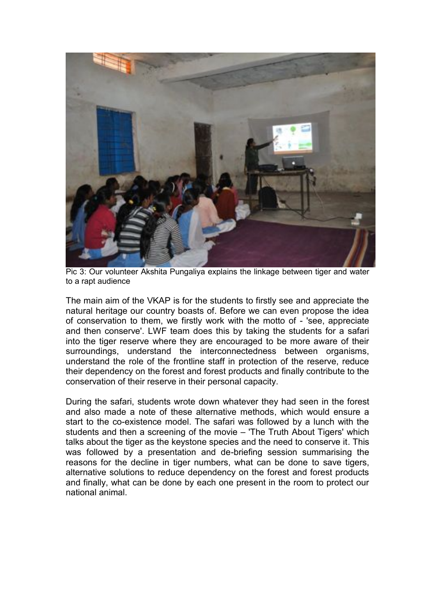

Pic 3: Our volunteer Akshita Pungaliya explains the linkage between tiger and water to a rapt audience

The main aim of the VKAP is for the students to firstly see and appreciate the natural heritage our country boasts of. Before we can even propose the idea of conservation to them, we firstly work with the motto of - 'see, appreciate and then conserve'. LWF team does this by taking the students for a safari into the tiger reserve where they are encouraged to be more aware of their surroundings, understand the interconnectedness between organisms, understand the role of the frontline staff in protection of the reserve, reduce their dependency on the forest and forest products and finally contribute to the conservation of their reserve in their personal capacity.

During the safari, students wrote down whatever they had seen in the forest and also made a note of these alternative methods, which would ensure a start to the co-existence model. The safari was followed by a lunch with the students and then a screening of the movie - 'The Truth About Tigers' which talks about the tiger as the keystone species and the need to conserve it. This was followed by a presentation and de-briefing session summarising the reasons for the decline in tiger numbers, what can be done to save tigers, alternative solutions to reduce dependency on the forest and forest products and finally, what can be done by each one present in the room to protect our national animal.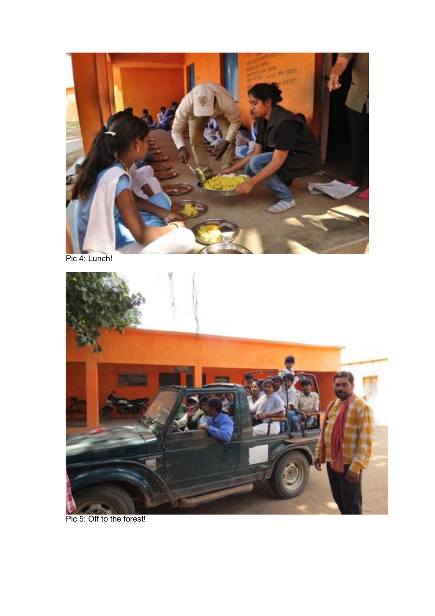

Pic 4: Lunch!



Pic 5: Off to the forest!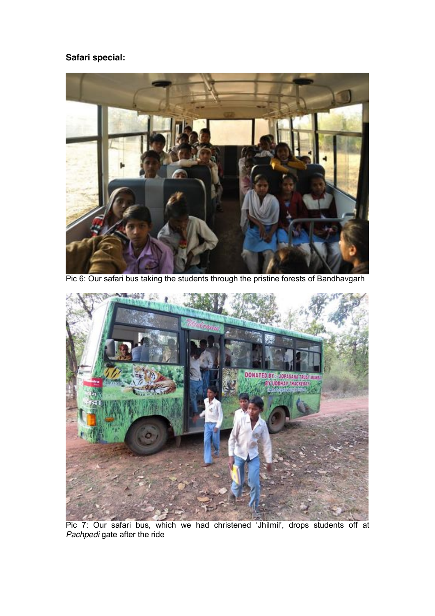#### **Safari special:**



Pic 6: Our safari bus taking the students through the pristine forests of Bandhavgarh



Pic 7: Our safari bus, which we had christened 'Jhilmil', drops students off at *Pachpedi* gate after the ride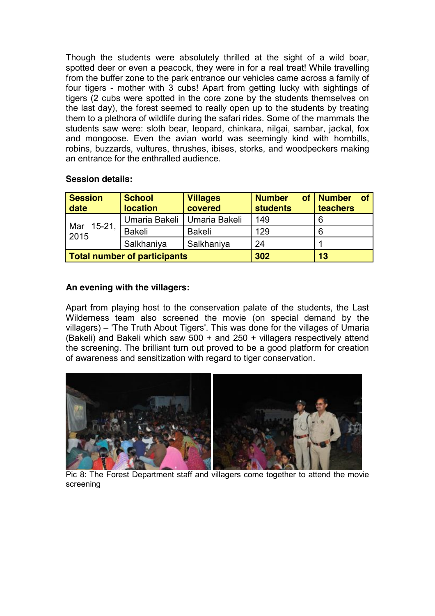Though the students were absolutely thrilled at the sight of a wild boar, spotted deer or even a peacock, they were in for a real treat! While travelling from the buffer zone to the park entrance our vehicles came across a family of four tigers - mother with 3 cubs! Apart from getting lucky with sightings of tigers (2 cubs were spotted in the core zone by the students themselves on the last day), the forest seemed to really open up to the students by treating them to a plethora of wildlife during the safari rides. Some of the mammals the students saw were: sloth bear, leopard, chinkara, nilgai, sambar, jackal, fox and mongoose. Even the avian world was seemingly kind with hornbills, robins, buzzards, vultures, thrushes, ibises, storks, and woodpeckers making an entrance for the enthralled audience.

#### **Session details:**

| <b>Session</b><br>date       | <b>School</b><br><b>location</b> | <b>Villages</b><br>covered | <b>Number</b><br><b>of</b><br><b>students</b> | <b>Number</b><br><b>of</b><br>teachers |
|------------------------------|----------------------------------|----------------------------|-----------------------------------------------|----------------------------------------|
| $15-21,$<br>Mar<br>2015      | Umaria Bakeli   Umaria Bakeli    |                            | 149                                           | 6                                      |
|                              | Bakeli                           | <b>Bakeli</b>              | 129                                           | 6                                      |
|                              | Salkhaniya                       | Salkhaniya                 | 24                                            |                                        |
| Total number of participants |                                  |                            | 302                                           | 13                                     |

#### **An evening with the villagers:**

Apart from playing host to the conservation palate of the students, the Last Wilderness team also screened the movie (on special demand by the villagers) - 'The Truth About Tigers'. This was done for the villages of Umaria (Bakeli) and Bakeli which saw 500 + and 250 + villagers respectively attend the screening. The brilliant turn out proved to be a good platform for creation of awareness and sensitization with regard to tiger conservation.



Pic 8: The Forest Department staff and villagers come together to attend the movie screening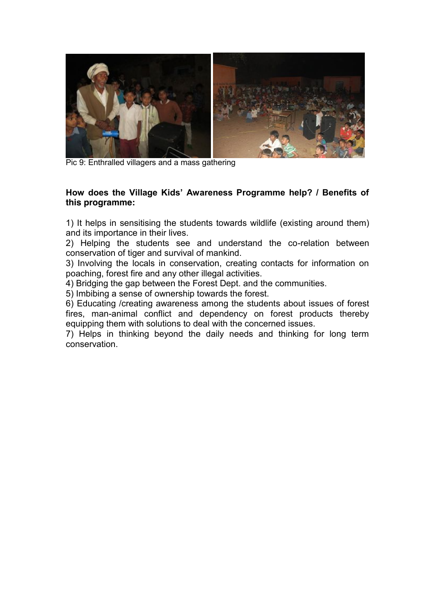

Pic 9: Enthralled villagers and a mass gathering

#### How does the Village Kids' Awareness Programme help? / Benefits of **this programme:**

1) It helps in sensitising the students towards wildlife (existing around them) and its importance in their lives.

2) Helping the students see and understand the co-relation between conservation of tiger and survival of mankind.

3) Involving the locals in conservation, creating contacts for information on poaching, forest fire and any other illegal activities.

4) Bridging the gap between the Forest Dept. and the communities.

5) Imbibing a sense of ownership towards the forest.

6) Educating /creating awareness among the students about issues of forest fires, man-animal conflict and dependency on forest products thereby equipping them with solutions to deal with the concerned issues.

7) Helps in thinking beyond the daily needs and thinking for long term conservation.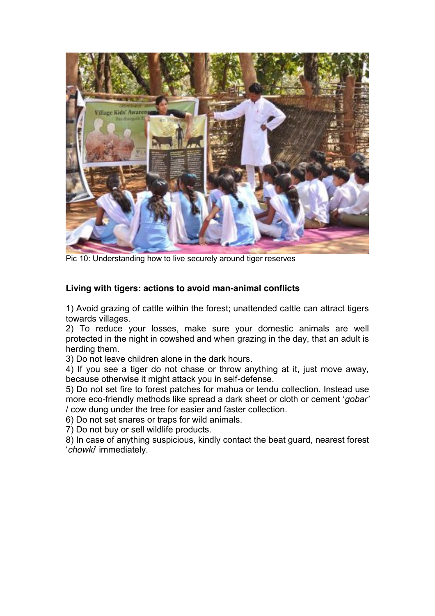

Pic 10: Understanding how to live securely around tiger reserves

#### **Living with tigers: actions to avoid man-animal conflicts**

1) Avoid grazing of cattle within the forest; unattended cattle can attract tigers towards villages.

2) To reduce your losses, make sure your domestic animals are well protected in the night in cowshed and when grazing in the day, that an adult is herding them.

3) Do not leave children alone in the dark hours.

4) If you see a tiger do not chase or throw anything at it, just move away, because otherwise it might attack you in self-defense.

5) Do not set fire to forest patches for mahua or tendu collection. Instead use more eco-friendly methods like spread a dark sheet or cloth or cement 'gobar' / cow dung under the tree for easier and faster collection.

6) Do not set snares or traps for wild animals.

7) Do not buy or sell wildlife products.

8) In case of anything suspicious, kindly contact the beat guard, nearest forest µ*chowki*¶ immediately.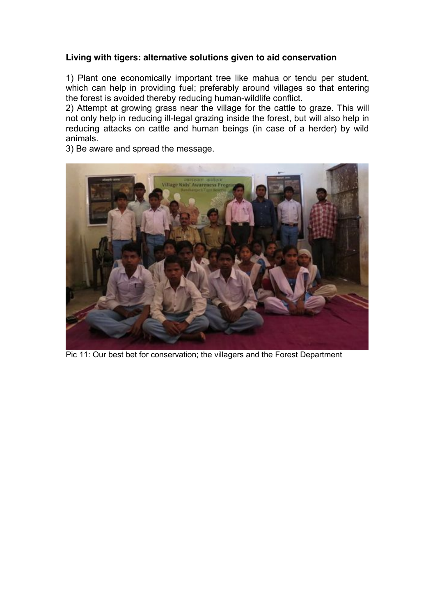#### **Living with tigers: alternative solutions given to aid conservation**

1) Plant one economically important tree like mahua or tendu per student, which can help in providing fuel; preferably around villages so that entering the forest is avoided thereby reducing human-wildlife conflict.

2) Attempt at growing grass near the village for the cattle to graze. This will not only help in reducing ill-legal grazing inside the forest, but will also help in reducing attacks on cattle and human beings (in case of a herder) by wild animals.

3) Be aware and spread the message.



Pic 11: Our best bet for conservation; the villagers and the Forest Department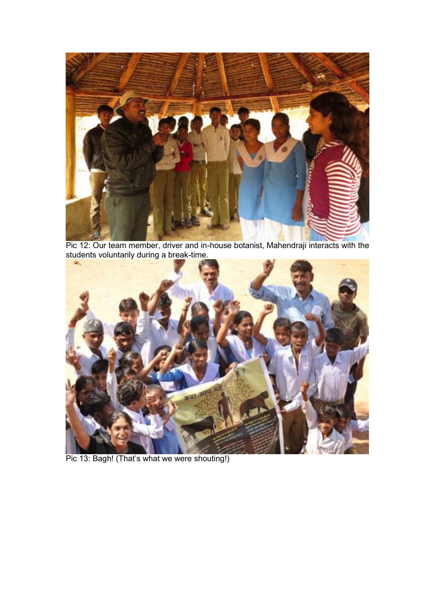

Pic 12: Our team member, driver and in-house botanist, Mahendraji interacts with the students voluntarily during a break-time.



Pic 13: Bagh! (That's what we were shouting!)